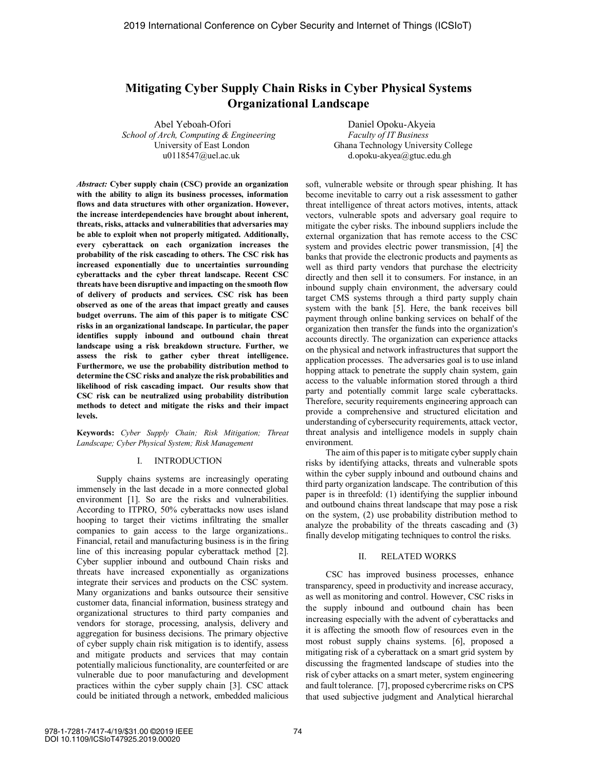# **Mitigating Cyber Supply Chain Risks in Cyber Physical Systems Organizational Landscape**

Abel Yeboah-Ofori Daniel Opoku-Akyeia *School of Arch, Computing & Engineering* Faculty of IT Business

University of East London Ghana Technology University College u0118547@uel.ac.uk d.opoku-akyea@gtuc.edu.gh

*Abstract:* **Cyber supply chain (CSC) provide an organization with the ability to align its business processes, information flows and data structures with other organization. However, the increase interdependencies have brought about inherent, threats, risks, attacks and vulnerabilities that adversaries may be able to exploit when not properly mitigated. Additionally, every cyberattack on each organization increases the probability of the risk cascading to others. The CSC risk has increased exponentially due to uncertainties surrounding cyberattacks and the cyber threat landscape. Recent CSC threats have been disruptive and impacting on the smooth flow of delivery of products and services. CSC risk has been observed as one of the areas that impact greatly and causes budget overruns. The aim of this paper is to mitigate CSC risks in an organizational landscape. In particular, the paper identifies supply inbound and outbound chain threat landscape using a risk breakdown structure. Further, we assess the risk to gather cyber threat intelligence. Furthermore, we use the probability distribution method to determine the CSC risks and analyze the risk probabilities and likelihood of risk cascading impact. Our results show that CSC risk can be neutralized using probability distribution methods to detect and mitigate the risks and their impact levels.**

**Keywords:** *Cyber Supply Chain; Risk Mitigation; Threat Landscape; Cyber Physical System; Risk Management*

# I. INTRODUCTION

Supply chains systems are increasingly operating immensely in the last decade in a more connected global environment [1]. So are the risks and vulnerabilities. According to ITPRO, 50% cyberattacks now uses island hooping to target their victims infiltrating the smaller companies to gain access to the large organizations.. Financial, retail and manufacturing business is in the firing line of this increasing popular cyberattack method [2]. Cyber supplier inbound and outbound Chain risks and threats have increased exponentially as organizations integrate their services and products on the CSC system. Many organizations and banks outsource their sensitive customer data, financial information, business strategy and organizational structures to third party companies and vendors for storage, processing, analysis, delivery and aggregation for business decisions. The primary objective of cyber supply chain risk mitigation is to identify, assess and mitigate products and services that may contain potentially malicious functionality, are counterfeited or are vulnerable due to poor manufacturing and development practices within the cyber supply chain [3]. CSC attack could be initiated through a network, embedded malicious soft, vulnerable website or through spear phishing. It has become inevitable to carry out a risk assessment to gather threat intelligence of threat actors motives, intents, attack vectors, vulnerable spots and adversary goal require to mitigate the cyber risks. The inbound suppliers include the external organization that has remote access to the CSC system and provides electric power transmission, [4] the banks that provide the electronic products and payments as well as third party vendors that purchase the electricity directly and then sell it to consumers. For instance, in an inbound supply chain environment, the adversary could target CMS systems through a third party supply chain system with the bank [5]. Here, the bank receives bill payment through online banking services on behalf of the organization then transfer the funds into the organization's accounts directly. The organization can experience attacks on the physical and network infrastructures that support the application processes. The adversaries goal is to use inland hopping attack to penetrate the supply chain system, gain access to the valuable information stored through a third party and potentially commit large scale cyberattacks. Therefore, security requirements engineering approach can provide a comprehensive and structured elicitation and understanding of cybersecurity requirements, attack vector, threat analysis and intelligence models in supply chain environment.

The aim of this paper is to mitigate cyber supply chain risks by identifying attacks, threats and vulnerable spots within the cyber supply inbound and outbound chains and third party organization landscape. The contribution of this paper is in threefold: (1) identifying the supplier inbound and outbound chains threat landscape that may pose a risk on the system, (2) use probability distribution method to analyze the probability of the threats cascading and (3) finally develop mitigating techniques to control the risks.

# II. RELATED WORKS

CSC has improved business processes, enhance transparency, speed in productivity and increase accuracy, as well as monitoring and control. However, CSC risks in the supply inbound and outbound chain has been increasing especially with the advent of cyberattacks and it is affecting the smooth flow of resources even in the most robust supply chains systems. [6], proposed a mitigating risk of a cyberattack on a smart grid system by discussing the fragmented landscape of studies into the risk of cyber attacks on a smart meter, system engineering and fault tolerance. [7], proposed cybercrime risks on CPS that used subjective judgment and Analytical hierarchal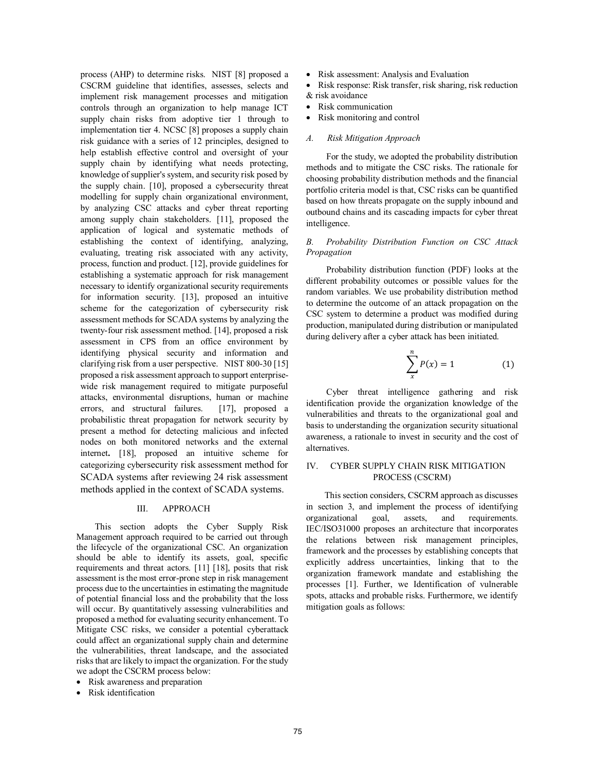process (AHP) to determine risks. NIST [8] proposed a CSCRM guideline that identifies, assesses, selects and implement risk management processes and mitigation controls through an organization to help manage ICT supply chain risks from adoptive tier 1 through to implementation tier 4. NCSC [8] proposes a supply chain risk guidance with a series of 12 principles, designed to help establish effective control and oversight of your supply chain by identifying what needs protecting, knowledge of supplier's system, and security risk posed by the supply chain. [10], proposed a cybersecurity threat modelling for supply chain organizational environment, by analyzing CSC attacks and cyber threat reporting among supply chain stakeholders. [11], proposed the application of logical and systematic methods of establishing the context of identifying, analyzing, evaluating, treating risk associated with any activity, process, function and product. [12], provide guidelines for establishing a systematic approach for risk management necessary to identify organizational security requirements for information security. [13], proposed an intuitive scheme for the categorization of cybersecurity risk assessment methods for SCADA systems by analyzing the twenty-four risk assessment method. [14], proposed a risk assessment in CPS from an office environment by identifying physical security and information and clarifying risk from a user perspective. NIST 800-30 [15] proposed a risk assessment approach to support enterprisewide risk management required to mitigate purposeful attacks, environmental disruptions, human or machine errors, and structural failures. [17], proposed a probabilistic threat propagation for network security by present a method for detecting malicious and infected nodes on both monitored networks and the external internet**.** [18], proposed an intuitive scheme for categorizing cybersecurity risk assessment method for SCADA systems after reviewing 24 risk assessment methods applied in the context of SCADA systems.

# III. APPROACH

This section adopts the Cyber Supply Risk Management approach required to be carried out through the lifecycle of the organizational CSC. An organization should be able to identify its assets, goal, specific requirements and threat actors. [11] [18], posits that risk assessment is the most error-prone step in risk management process due to the uncertainties in estimating the magnitude of potential financial loss and the probability that the loss will occur. By quantitatively assessing vulnerabilities and proposed a method for evaluating security enhancement. To Mitigate CSC risks, we consider a potential cyberattack could affect an organizational supply chain and determine the vulnerabilities, threat landscape, and the associated risks that are likely to impact the organization. For the study we adopt the CSCRM process below:

- Risk awareness and preparation
- $\bullet$  Risk identification
- Risk assessment: Analysis and Evaluation
- Risk response: Risk transfer, risk sharing, risk reduction & risk avoidance
- Risk communication
- $\bullet$  Risk monitoring and control

## *A. Risk Mitigation Approach*

For the study, we adopted the probability distribution methods and to mitigate the CSC risks. The rationale for choosing probability distribution methods and the financial portfolio criteria model is that, CSC risks can be quantified based on how threats propagate on the supply inbound and outbound chains and its cascading impacts for cyber threat intelligence.

# *B. Probability Distribution Function on CSC Attack Propagation*

Probability distribution function (PDF) looks at the different probability outcomes or possible values for the random variables. We use probability distribution method to determine the outcome of an attack propagation on the CSC system to determine a product was modified during production, manipulated during distribution or manipulated during delivery after a cyber attack has been initiated.

$$
\sum_{x}^{n} P(x) = 1 \tag{1}
$$

Cyber threat intelligence gathering and risk identification provide the organization knowledge of the vulnerabilities and threats to the organizational goal and basis to understanding the organization security situational awareness, a rationale to invest in security and the cost of alternatives.

# IV. CYBER SUPPLY CHAIN RISK MITIGATION PROCESS (CSCRM)

This section considers, CSCRM approach as discusses in section 3, and implement the process of identifying organizational goal, assets, and requirements. IEC/ISO31000 proposes an architecture that incorporates the relations between risk management principles, framework and the processes by establishing concepts that explicitly address uncertainties, linking that to the organization framework mandate and establishing the processes [1]. Further, we Identification of vulnerable spots, attacks and probable risks. Furthermore, we identify mitigation goals as follows: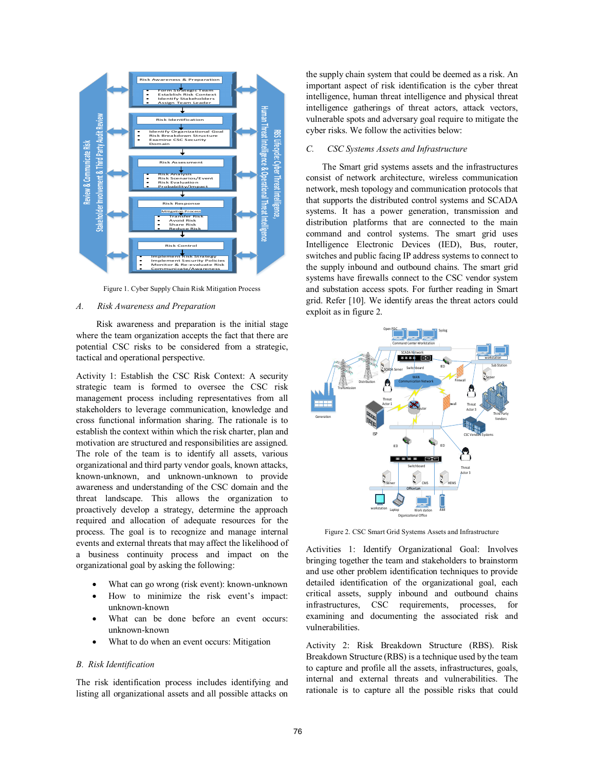

Figure 1. Cyber Supply Chain Risk Mitigation Process

# *A. Risk Awareness and Preparation*

Risk awareness and preparation is the initial stage where the team organization accepts the fact that there are potential CSC risks to be considered from a strategic, tactical and operational perspective.

Activity 1: Establish the CSC Risk Context: A security strategic team is formed to oversee the CSC risk management process including representatives from all stakeholders to leverage communication, knowledge and cross functional information sharing. The rationale is to establish the context within which the risk charter, plan and motivation are structured and responsibilities are assigned. The role of the team is to identify all assets, various organizational and third party vendor goals, known attacks, known-unknown, and unknown-unknown to provide awareness and understanding of the CSC domain and the threat landscape. This allows the organization to proactively develop a strategy, determine the approach required and allocation of adequate resources for the process. The goal is to recognize and manage internal events and external threats that may affect the likelihood of a business continuity process and impact on the organizational goal by asking the following:

- x What can go wrong (risk event): known-unknown
- How to minimize the risk event's impact: unknown-known
- What can be done before an event occurs: unknown-known
- What to do when an event occurs: Mitigation

# *B. Risk Identification*

The risk identification process includes identifying and listing all organizational assets and all possible attacks on

the supply chain system that could be deemed as a risk. An important aspect of risk identification is the cyber threat intelligence, human threat intelligence and physical threat intelligence gatherings of threat actors, attack vectors, vulnerable spots and adversary goal require to mitigate the cyber risks. We follow the activities below:

# *C. CSC Systems Assets and Infrastructure*

The Smart grid systems assets and the infrastructures consist of network architecture, wireless communication network, mesh topology and communication protocols that that supports the distributed control systems and SCADA systems. It has a power generation, transmission and distribution platforms that are connected to the main command and control systems. The smart grid uses Intelligence Electronic Devices (IED), Bus, router, switches and public facing IP address systems to connect to the supply inbound and outbound chains. The smart grid systems have firewalls connect to the CSC vendor system and substation access spots. For further reading in Smart grid. Refer [10]. We identify areas the threat actors could exploit as in figure 2.



Figure 2. CSC Smart Grid Systems Assets and Infrastructure

Activities 1: Identify Organizational Goal: Involves bringing together the team and stakeholders to brainstorm and use other problem identification techniques to provide detailed identification of the organizational goal, each critical assets, supply inbound and outbound chains infrastructures, CSC requirements, processes, for examining and documenting the associated risk and vulnerabilities.

Activity 2: Risk Breakdown Structure (RBS). Risk Breakdown Structure (RBS) is a technique used by the team to capture and profile all the assets, infrastructures, goals, internal and external threats and vulnerabilities. The rationale is to capture all the possible risks that could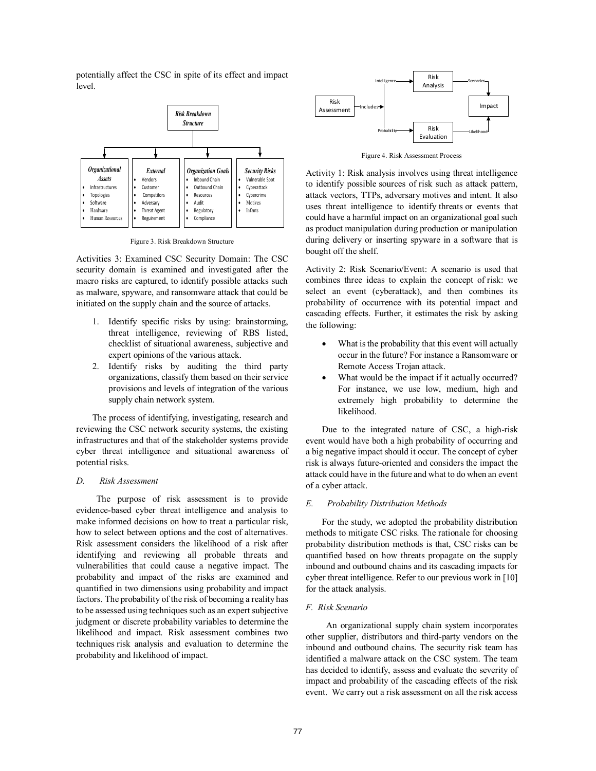potentially affect the CSC in spite of its effect and impact level.



Figure 3. Risk Breakdown Structure

Activities 3: Examined CSC Security Domain: The CSC security domain is examined and investigated after the macro risks are captured, to identify possible attacks such as malware, spyware, and ransomware attack that could be initiated on the supply chain and the source of attacks.

- 1. Identify specific risks by using: brainstorming, threat intelligence, reviewing of RBS listed, checklist of situational awareness, subjective and expert opinions of the various attack.
- 2. Identify risks by auditing the third party organizations, classify them based on their service provisions and levels of integration of the various supply chain network system.

The process of identifying, investigating, research and reviewing the CSC network security systems, the existing infrastructures and that of the stakeholder systems provide cyber threat intelligence and situational awareness of potential risks.

# *D. Risk Assessment*

The purpose of risk assessment is to provide evidence-based cyber threat intelligence and analysis to make informed decisions on how to treat a particular risk, how to select between options and the cost of alternatives. Risk assessment considers the likelihood of a risk after identifying and reviewing all probable threats and vulnerabilities that could cause a negative impact. The probability and impact of the risks are examined and quantified in two dimensions using probability and impact factors. The probability of the risk of becoming a reality has to be assessed using techniques such as an expert subjective judgment or discrete probability variables to determine the likelihood and impact. Risk assessment combines two techniques risk analysis and evaluation to determine the probability and likelihood of impact.



Figure 4. Risk Assessment Process

Activity 1: Risk analysis involves using threat intelligence to identify possible sources of risk such as attack pattern, attack vectors, TTPs, adversary motives and intent. It also uses threat intelligence to identify threats or events that could have a harmful impact on an organizational goal such as product manipulation during production or manipulation during delivery or inserting spyware in a software that is bought off the shelf.

Activity 2: Risk Scenario/Event: A scenario is used that combines three ideas to explain the concept of risk: we select an event (cyberattack), and then combines its probability of occurrence with its potential impact and cascading effects. Further, it estimates the risk by asking the following:

- $\bullet$  What is the probability that this event will actually occur in the future? For instance a Ransomware or Remote Access Trojan attack.
- What would be the impact if it actually occurred? For instance, we use low, medium, high and extremely high probability to determine the likelihood.

Due to the integrated nature of CSC, a high-risk event would have both a high probability of occurring and a big negative impact should it occur. The concept of cyber risk is always future-oriented and considers the impact the attack could have in the future and what to do when an event of a cyber attack.

# *E. Probability Distribution Methods*

For the study, we adopted the probability distribution methods to mitigate CSC risks. The rationale for choosing probability distribution methods is that, CSC risks can be quantified based on how threats propagate on the supply inbound and outbound chains and its cascading impacts for cyber threat intelligence. Refer to our previous work in [10] for the attack analysis.

# *F. Risk Scenario*

An organizational supply chain system incorporates other supplier, distributors and third-party vendors on the inbound and outbound chains. The security risk team has identified a malware attack on the CSC system. The team has decided to identify, assess and evaluate the severity of impact and probability of the cascading effects of the risk event. We carry out a risk assessment on all the risk access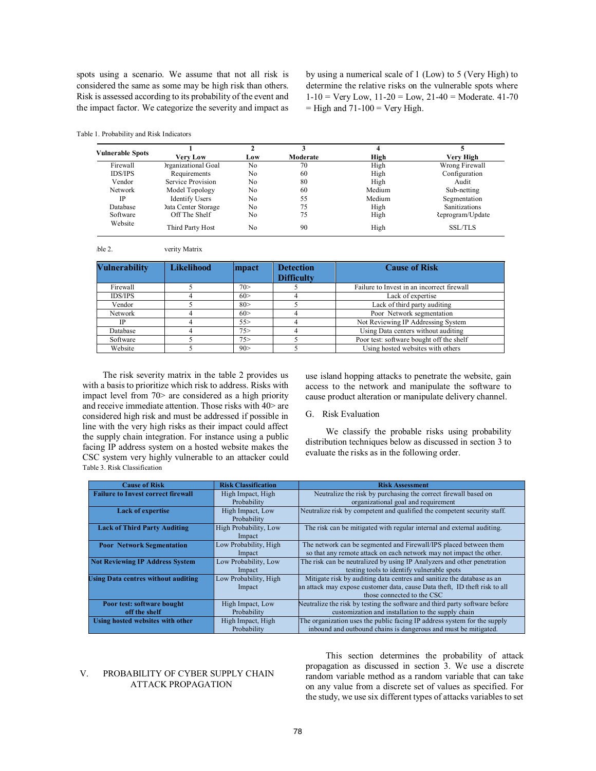spots using a scenario. We assume that not all risk is considered the same as some may be high risk than others. Risk is assessed according to its probability of the event and the impact factor. We categorize the severity and impact as by using a numerical scale of 1 (Low) to 5 (Very High) to determine the relative risks on the vulnerable spots where  $1-10$  = Very Low,  $11-20$  = Low,  $21-40$  = Moderate. 41-70  $=$  High and 71-100  $=$  Very High.

|  |  | Table 1. Probability and Risk Indicators |  |  |
|--|--|------------------------------------------|--|--|
|--|--|------------------------------------------|--|--|

| <b>Vulnerable Spots</b> | Verv Low                   | Low | Moderate | High   | Very High            |
|-------------------------|----------------------------|-----|----------|--------|----------------------|
| Firewall                | <b>Drganizational Goal</b> | No  | 70       | High   | Wrong Firewall       |
| <b>IDS/IPS</b>          | Requirements               | No  | 60       | High   | Configuration        |
| Vendor                  | Service Provision          | No  | 80       | High   | Audit                |
| Network                 | Model Topology             | No  | 60       | Medium | Sub-netting          |
| <b>IP</b>               | Identify Users             | No  | 55       | Medium | Segmentation         |
| Database                | <b>Jata Center Storage</b> | No  | 75       | High   | <b>Sanitizations</b> |
| Software                | Off The Shelf              | No  | 75       | High   | Reprogram/Update     |
| Website                 | Third Party Host           | No  | 90       | High   | <b>SSL/TLS</b>       |

able 2. verity Matrix

| <b>Vulnerability</b> | <b>Likelihood</b> | mpact | <b>Detection</b><br><b>Difficulty</b> | <b>Cause of Risk</b>                       |
|----------------------|-------------------|-------|---------------------------------------|--------------------------------------------|
| Firewall             |                   | 70>   |                                       | Failure to Invest in an incorrect firewall |
| <b>IDS/IPS</b>       |                   | 60>   |                                       | Lack of expertise                          |
| Vendor               |                   | 80>   |                                       | Lack of third party auditing               |
| Network              |                   | 60>   |                                       | Poor Network segmentation                  |
| IP                   |                   | 55    |                                       | Not Reviewing IP Addressing System         |
| Database             |                   | 75    |                                       | Using Data centers without auditing        |
| Software             |                   | 75    |                                       | Poor test: software bought off the shelf   |
| Website              |                   | 90 >  |                                       | Using hosted websites with others          |

The risk severity matrix in the table 2 provides us with a basis to prioritize which risk to address. Risks with impact level from 70> are considered as a high priority and receive immediate attention. Those risks with 40> are considered high risk and must be addressed if possible in line with the very high risks as their impact could affect the supply chain integration. For instance using a public facing IP address system on a hosted website makes the CSC system very highly vulnerable to an attacker could Table 3. Risk Classification

use island hopping attacks to penetrate the website, gain access to the network and manipulate the software to cause product alteration or manipulate delivery channel.

## G. Risk Evaluation

We classify the probable risks using probability distribution techniques below as discussed in section 3 to evaluate the risks as in the following order.

| <b>Cause of Risk</b>                                      | <b>Risk Classification</b>                                                                      | <b>Risk Assessment</b>                                                     |
|-----------------------------------------------------------|-------------------------------------------------------------------------------------------------|----------------------------------------------------------------------------|
| <b>Failure to Invest correct firewall</b>                 | High Impact, High                                                                               | Neutralize the risk by purchasing the correct firewall based on            |
|                                                           | Probability                                                                                     | organizational goal and requirement                                        |
| <b>Lack of expertise</b>                                  | High Impact, Low                                                                                | Neutralize risk by competent and qualified the competent security staff.   |
|                                                           | Probability                                                                                     |                                                                            |
| <b>Lack of Third Party Auditing</b>                       | High Probability, Low                                                                           | The risk can be mitigated with regular internal and external auditing.     |
|                                                           | Impact                                                                                          |                                                                            |
| Low Probability, High<br><b>Poor Network Segmentation</b> |                                                                                                 | The network can be segmented and Firewall/IPS placed between them          |
|                                                           | Impact                                                                                          | so that any remote attack on each network may not impact the other.        |
| <b>Not Reviewing IP Address System</b>                    | Low Probability, Low                                                                            | The risk can be neutralized by using IP Analyzers and other penetration    |
|                                                           | Impact                                                                                          | testing tools to identify vulnerable spots                                 |
| <b>Using Data centres without auditing</b>                | Low Probability, High                                                                           | Mitigate risk by auditing data centres and sanitize the database as an     |
|                                                           | Impact                                                                                          | an attack may expose customer data, cause Data theft, ID theft risk to all |
|                                                           |                                                                                                 | those connected to the CSC                                                 |
| Poor test: software bought                                | Neutralize the risk by testing the software and third party software before<br>High Impact, Low |                                                                            |
| off the shelf                                             | Probability                                                                                     | customization and installation to the supply chain                         |
| High Impact, High<br>Using hosted websites with other     |                                                                                                 | The organization uses the public facing IP address system for the supply   |
|                                                           | Probability                                                                                     | inbound and outbound chains is dangerous and must be mitigated.            |

# V. PROBABILITY OF CYBER SUPPLY CHAIN ATTACK PROPAGATION

This section determines the probability of attack propagation as discussed in section 3. We use a discrete random variable method as a random variable that can take on any value from a discrete set of values as specified. For the study, we use six different types of attacks variables to set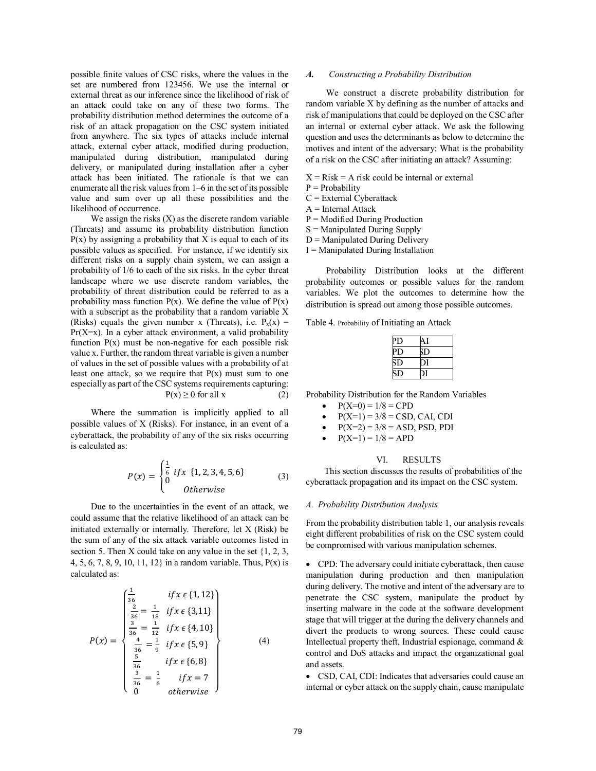possible finite values of CSC risks, where the values in the set are numbered from 123456. We use the internal or external threat as our inference since the likelihood of risk of an attack could take on any of these two forms. The probability distribution method determines the outcome of a risk of an attack propagation on the CSC system initiated from anywhere. The six types of attacks include internal attack, external cyber attack, modified during production, manipulated during distribution, manipulated during delivery, or manipulated during installation after a cyber attack has been initiated. The rationale is that we can enumerate all the risk values from 1–6 in the set of its possible value and sum over up all these possibilities and the likelihood of occurrence.

We assign the risks  $(X)$  as the discrete random variable (Threats) and assume its probability distribution function  $P(x)$  by assigning a probability that X is equal to each of its possible values as specified. For instance, if we identify six different risks on a supply chain system, we can assign a probability of 1/6 to each of the six risks. In the cyber threat landscape where we use discrete random variables, the probability of threat distribution could be referred to as a probability mass function  $P(x)$ . We define the value of  $P(x)$ with a subscript as the probability that a random variable X (Risks) equals the given number x (Threats), i.e.  $P_x(x) =$  $Pr(X=x)$ . In a cyber attack environment, a valid probability function P(x) must be non-negative for each possible risk value x. Further, the random threat variable is given a number of values in the set of possible values with a probability of at least one attack, so we require that  $P(x)$  must sum to one especially as part of the CSC systems requirements capturing:  $P(x) \ge 0$  for all x (2)

Where the summation is implicitly applied to all possible values of X (Risks). For instance, in an event of a cyberattack, the probability of any of the six risks occurring is calculated as:

$$
P(x) = \begin{cases} \frac{1}{6} & \text{if } x \{1, 2, 3, 4, 5, 6\} \\ 0 & \text{otherwise} \end{cases}
$$
(3)

Due to the uncertainties in the event of an attack, we could assume that the relative likelihood of an attack can be initiated externally or internally. Therefore, let X (Risk) be the sum of any of the six attack variable outcomes listed in section 5. Then X could take on any value in the set  $\{1, 2, 3, \}$ 4, 5, 6, 7, 8, 9, 10, 11, 12} in a random variable. Thus, P(x) is calculated as:

$$
P(x) = \begin{cases} \frac{1}{36} & if x \in \{1, 12\} \\ \frac{2}{36} = \frac{1}{18} & if x \in \{3, 11\} \\ \frac{3}{36} = \frac{1}{12} & if x \in \{4, 10\} \\ \frac{4}{36} = \frac{1}{9} & if x \in \{5, 9\} \\ \frac{5}{36} & if x \in \{6, 8\} \\ \frac{3}{36} = \frac{1}{6} & if x = 7 \\ 0 & otherwise \end{cases}
$$
(4)

## *A. Constructing a Probability Distribution*

We construct a discrete probability distribution for random variable X by defining as the number of attacks and risk of manipulations that could be deployed on the CSC after an internal or external cyber attack. We ask the following question and uses the determinants as below to determine the motives and intent of the adversary: What is the probability of a risk on the CSC after initiating an attack? Assuming:

- $X = Risk = A$  risk could be internal or external
- $P = Probability$
- $C =$  External Cyberattack
- $A = Internal$  Attack
- $P =$  Modified During Production
- $S =$  Manipulated During Supply
- $D =$  Manipulated During Delivery
- I = Manipulated During Installation

Probability Distribution looks at the different probability outcomes or possible values for the random variables. We plot the outcomes to determine how the distribution is spread out among those possible outcomes.

Table 4. Probability of Initiating an Attack

| PD<br>r –              |    |
|------------------------|----|
| PD                     | SD |
| $\overline{\text{SD}}$ |    |
| $\overline{\text{SD}}$ |    |

Probability Distribution for the Random Variables

- $P(X=0) = 1/8 = CPD$
- $P(X=1) = 3/8 = CSD, CAI, CDI$
- $P(X=2) = 3/8 = ASD$ , PSD, PDI
- $P(X=1) = 1/8 = APD$

#### VI. RESULTS

This section discusses the results of probabilities of the cyberattack propagation and its impact on the CSC system.

## *A. Probability Distribution Analysis*

From the probability distribution table 1, our analysis reveals eight different probabilities of risk on the CSC system could be compromised with various manipulation schemes.

• CPD: The adversary could initiate cyberattack, then cause manipulation during production and then manipulation during delivery. The motive and intent of the adversary are to penetrate the CSC system, manipulate the product by inserting malware in the code at the software development stage that will trigger at the during the delivery channels and divert the products to wrong sources. These could cause Intellectual property theft, Industrial espionage, command  $\&$ control and DoS attacks and impact the organizational goal and assets.

• CSD, CAI, CDI: Indicates that adversaries could cause an internal or cyber attack on the supply chain, cause manipulate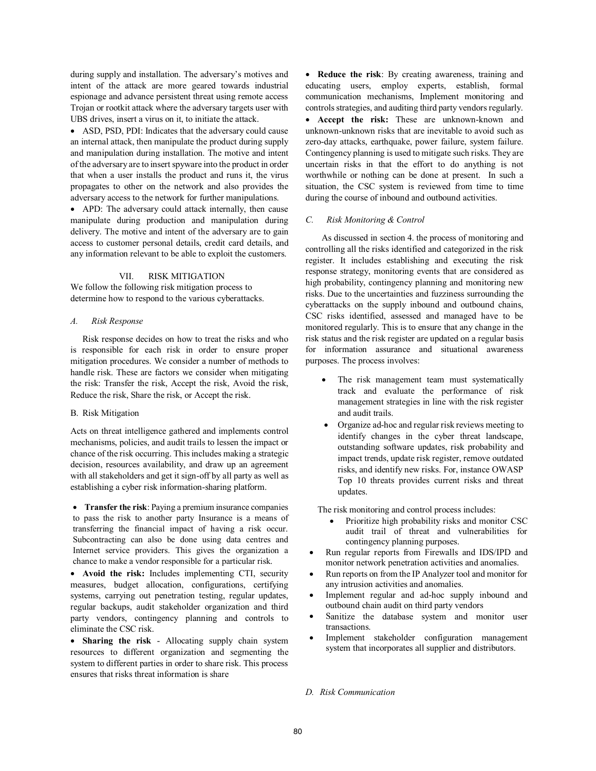during supply and installation. The adversary's motives and intent of the attack are more geared towards industrial espionage and advance persistent threat using remote access Trojan or rootkit attack where the adversary targets user with UBS drives, insert a virus on it, to initiate the attack.

• ASD, PSD, PDI: Indicates that the adversary could cause an internal attack, then manipulate the product during supply and manipulation during installation. The motive and intent of the adversary are to insert spyware into the product in order that when a user installs the product and runs it, the virus propagates to other on the network and also provides the adversary access to the network for further manipulations.

• APD: The adversary could attack internally, then cause manipulate during production and manipulation during delivery. The motive and intent of the adversary are to gain access to customer personal details, credit card details, and any information relevant to be able to exploit the customers.

# VII. RISK MITIGATION

We follow the following risk mitigation process to determine how to respond to the various cyberattacks.

## *A. Risk Response*

 Risk response decides on how to treat the risks and who is responsible for each risk in order to ensure proper mitigation procedures. We consider a number of methods to handle risk. These are factors we consider when mitigating the risk: Transfer the risk, Accept the risk, Avoid the risk, Reduce the risk, Share the risk, or Accept the risk.

## B. Risk Mitigation

Acts on threat intelligence gathered and implements control mechanisms, policies, and audit trails to lessen the impact or chance of the risk occurring. This includes making a strategic decision, resources availability, and draw up an agreement with all stakeholders and get it sign-off by all party as well as establishing a cyber risk information-sharing platform.

**• Transfer the risk**: Paying a premium insurance companies to pass the risk to another party Insurance is a means of transferring the financial impact of having a risk occur. Subcontracting can also be done using data centres and Internet service providers. This gives the organization a chance to make a vendor responsible for a particular risk.

x **Avoid the risk:** Includes implementing CTI, security measures, budget allocation, configurations, certifying systems, carrying out penetration testing, regular updates, regular backups, audit stakeholder organization and third party vendors, contingency planning and controls to eliminate the CSC risk.

**• Sharing the risk** - Allocating supply chain system resources to different organization and segmenting the system to different parties in order to share risk. This process ensures that risks threat information is share

• Reduce the risk: By creating awareness, training and educating users, employ experts, establish, formal communication mechanisms, Implement monitoring and controls strategies, and auditing third party vendors regularly. • Accept the risk: These are unknown-known and unknown-unknown risks that are inevitable to avoid such as zero-day attacks, earthquake, power failure, system failure. Contingency planning is used to mitigate such risks. They are uncertain risks in that the effort to do anything is not worthwhile or nothing can be done at present. In such a situation, the CSC system is reviewed from time to time during the course of inbound and outbound activities.

#### *C. Risk Monitoring & Control*

As discussed in section 4. the process of monitoring and controlling all the risks identified and categorized in the risk register. It includes establishing and executing the risk response strategy, monitoring events that are considered as high probability, contingency planning and monitoring new risks. Due to the uncertainties and fuzziness surrounding the cyberattacks on the supply inbound and outbound chains, CSC risks identified, assessed and managed have to be monitored regularly. This is to ensure that any change in the risk status and the risk register are updated on a regular basis for information assurance and situational awareness purposes. The process involves:

- The risk management team must systematically track and evaluate the performance of risk management strategies in line with the risk register and audit trails.
- Organize ad-hoc and regular risk reviews meeting to identify changes in the cyber threat landscape, outstanding software updates, risk probability and impact trends, update risk register, remove outdated risks, and identify new risks. For, instance OWASP Top 10 threats provides current risks and threat updates.

The risk monitoring and control process includes:

- Prioritize high probability risks and monitor CSC audit trail of threat and vulnerabilities for contingency planning purposes.
- Run regular reports from Firewalls and IDS/IPD and monitor network penetration activities and anomalies.
- Run reports on from the IP Analyzer tool and monitor for any intrusion activities and anomalies.
- Implement regular and ad-hoc supply inbound and outbound chain audit on third party vendors
- Sanitize the database system and monitor user transactions.
- Implement stakeholder configuration management system that incorporates all supplier and distributors.

*D. Risk Communication*